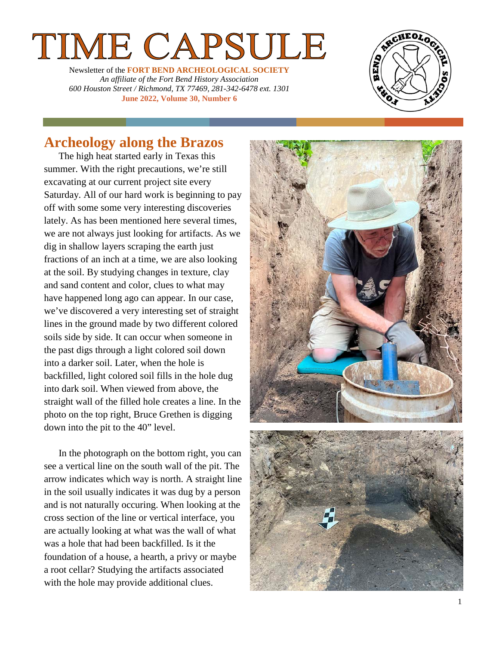# ME CAPSULE

Newsletter of the **FORT BEND ARCHEOLOGICAL SOCIETY** *An affiliate of the Fort Bend History Association 600 Houston Street / Richmond, TX 77469, 281 -342 -6478 ext. 1301* **June 2022, Volume 30, Number 6**



## **Archeology along the Brazos**

The high heat started early in Texas this summer. With the right precautions, we're still excavating at our current project site every Saturday. All of our hard work is beginning to pay off with some some very interesting discoveries lately. As has been mentioned here several times, we are not always just looking for artifacts. As we dig in shallow layers scraping the earth just fractions of an inch at a time, we are also looking at the soil. By studying changes in texture, clay and sand content and color, clues to what may have happened long ago can appear. In our case, we've discovered a very interesting set of straight lines in the ground made by two different colored soils side by side. It can occur when someone in the past digs through a light colored soil down into a darker soil. Later, when the hole is backfilled, light colored soil fills in the hole dug into dark soil. When viewed from above, the straight wall of the filled hole creates a line. In the photo on the top right, Bruce Grethen is digging down into the pit to the 40" level .

In the photograph on the bottom right, you can see a vertical line on the south wall of the pit. The arrow indicates which way is north. A straight line in the soil usually indicates it was dug by a person and is not naturally occuring . When looking at the cross section of th e line or vertical interface, you are actually looking at what was the wall of what was a hole that had been backfilled . Is it the foundation of a house, a hearth, a privy or maybe a root cellar? Studying the artifacts associated with the hole may provide additional clues.